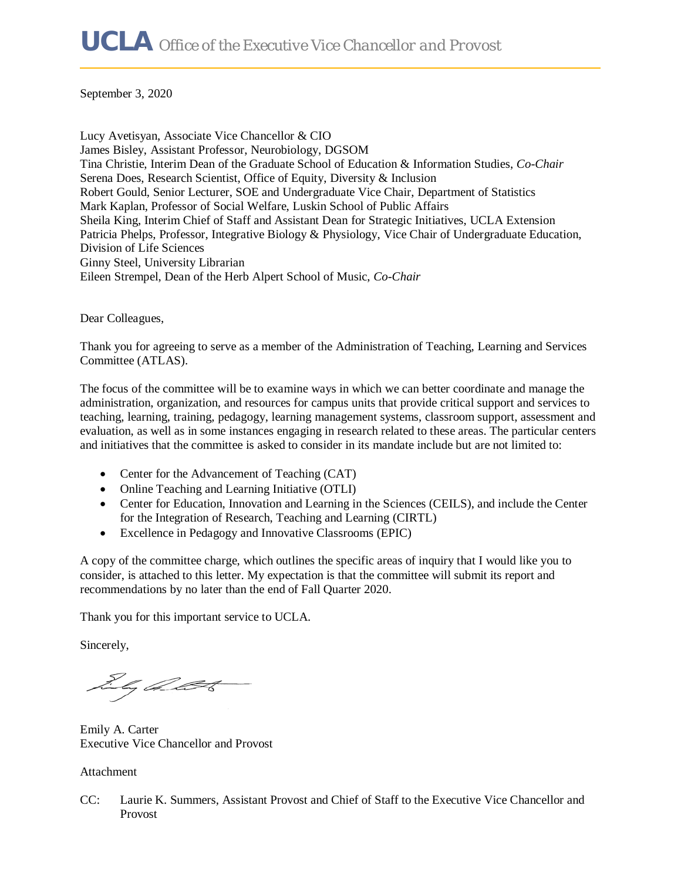September 3, 2020

Lucy Avetisyan, Associate Vice Chancellor & CIO James Bisley, Assistant Professor, Neurobiology, DGSOM Tina Christie, Interim Dean of the Graduate School of Education & Information Studies, *Co-Chair*  Serena Does, Research Scientist, Office of Equity, Diversity & Inclusion Robert Gould, Senior Lecturer, SOE and Undergraduate Vice Chair, Department of Statistics Mark Kaplan, Professor of Social Welfare, Luskin School of Public Affairs Sheila King, Interim Chief of Staff and Assistant Dean for Strategic Initiatives, UCLA Extension Patricia Phelps, Professor, Integrative Biology & Physiology, Vice Chair of Undergraduate Education, Division of Life Sciences Ginny Steel, University Librarian Eileen Strempel, Dean of the Herb Alpert School of Music, *Co-Chair* 

Dear Colleagues,

Thank you for agreeing to serve as a member of the Administration of Teaching, Learning and Services Committee (ATLAS).

The focus of the committee will be to examine ways in which we can better coordinate and manage the administration, organization, and resources for campus units that provide critical support and services to teaching, learning, training, pedagogy, learning management systems, classroom support, assessment and evaluation, as well as in some instances engaging in research related to these areas. The particular centers and initiatives that the committee is asked to consider in its mandate include but are not limited to:

- Center for the Advancement of Teaching (CAT)
- Online Teaching and Learning Initiative (OTLI)
- Center for Education, Innovation and Learning in the Sciences (CEILS), and include the Center for the Integration of Research, Teaching and Learning (CIRTL)
- Excellence in Pedagogy and Innovative Classrooms (EPIC)

A copy of the committee charge, which outlines the specific areas of inquiry that I would like you to consider, is attached to this letter. My expectation is that the committee will submit its report and recommendations by no later than the end of Fall Quarter 2020.

Thank you for this important service to UCLA.

Sincerely,

Dhy Allt

Emily A. Carter Executive Vice Chancellor and Provost

Attachment

CC: Laurie K. Summers, Assistant Provost and Chief of Staff to the Executive Vice Chancellor and Provost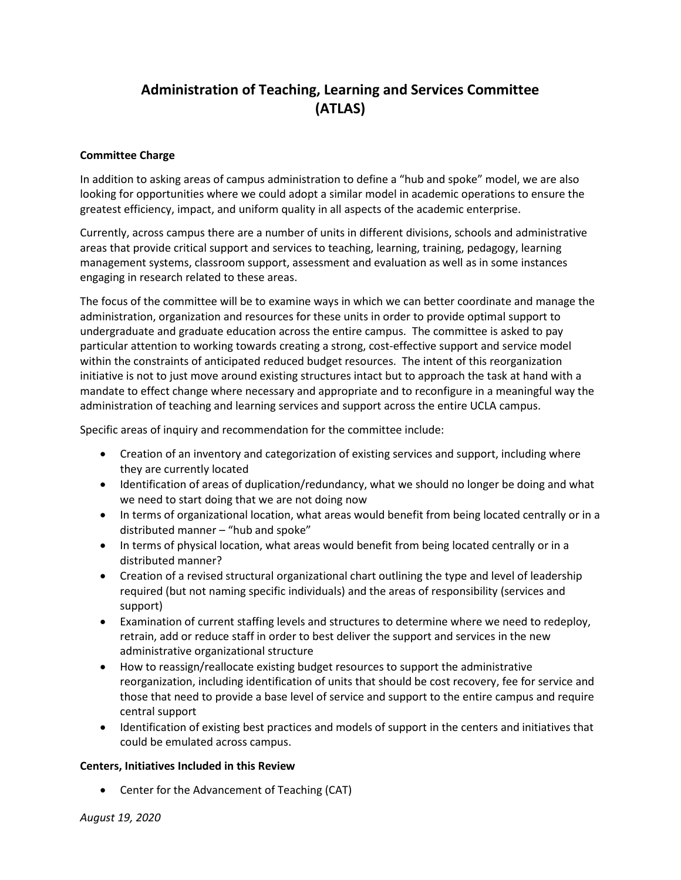## **Administration of Teaching, Learning and Services Committee (ATLAS)**

## **Committee Charge**

In addition to asking areas of campus administration to define a "hub and spoke" model, we are also looking for opportunities where we could adopt a similar model in academic operations to ensure the greatest efficiency, impact, and uniform quality in all aspects of the academic enterprise.

Currently, across campus there are a number of units in different divisions, schools and administrative areas that provide critical support and services to teaching, learning, training, pedagogy, learning management systems, classroom support, assessment and evaluation as well as in some instances engaging in research related to these areas.

The focus of the committee will be to examine ways in which we can better coordinate and manage the administration, organization and resources for these units in order to provide optimal support to undergraduate and graduate education across the entire campus. The committee is asked to pay particular attention to working towards creating a strong, cost-effective support and service model within the constraints of anticipated reduced budget resources. The intent of this reorganization initiative is not to just move around existing structures intact but to approach the task at hand with a mandate to effect change where necessary and appropriate and to reconfigure in a meaningful way the administration of teaching and learning services and support across the entire UCLA campus.

Specific areas of inquiry and recommendation for the committee include:

- Creation of an inventory and categorization of existing services and support, including where they are currently located
- Identification of areas of duplication/redundancy, what we should no longer be doing and what we need to start doing that we are not doing now
- In terms of organizational location, what areas would benefit from being located centrally or in a distributed manner – "hub and spoke"
- In terms of physical location, what areas would benefit from being located centrally or in a distributed manner?
- Creation of a revised structural organizational chart outlining the type and level of leadership required (but not naming specific individuals) and the areas of responsibility (services and support)
- Examination of current staffing levels and structures to determine where we need to redeploy, retrain, add or reduce staff in order to best deliver the support and services in the new administrative organizational structure
- How to reassign/reallocate existing budget resources to support the administrative reorganization, including identification of units that should be cost recovery, fee for service and those that need to provide a base level of service and support to the entire campus and require central support
- Identification of existing best practices and models of support in the centers and initiatives that could be emulated across campus.

## **Centers, Initiatives Included in this Review**

• Center for the Advancement of Teaching (CAT)